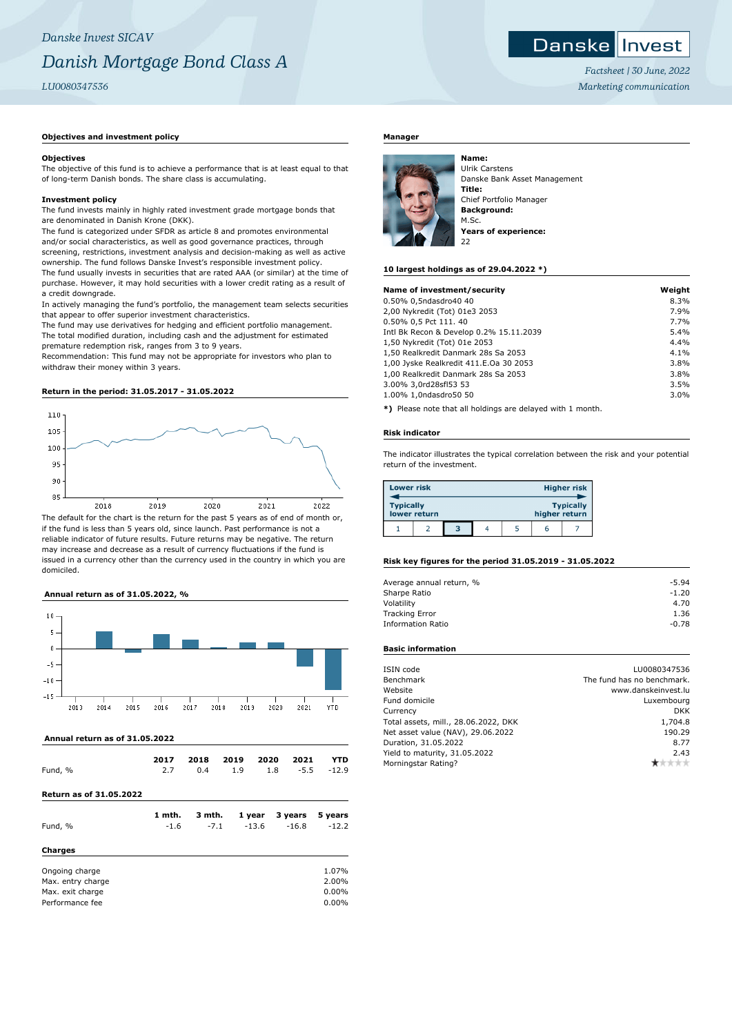# **Objectives and investment policy**

### **Objectives**

The objective of this fund is to achieve a performance that is at least equal to that of long-term Danish bonds. The share class is accumulating.

## **Investment policy**

The fund invests mainly in highly rated investment grade mortgage bonds that are denominated in Danish Krone (DKK).

The fund is categorized under SFDR as article 8 and promotes environmental and/or social characteristics, as well as good governance practices, through screening, restrictions, investment analysis and decision-making as well as active ownership. The fund follows Danske Invest's responsible investment policy. The fund usually invests in securities that are rated AAA (or similar) at the time of purchase. However, it may hold securities with a lower credit rating as a result of a credit downgrade.

In actively managing the fund's portfolio, the management team selects securities that appear to offer superior investment characteristics.

The fund may use derivatives for hedging and efficient portfolio management. The total modified duration, including cash and the adjustment for estimated premature redemption risk, ranges from 3 to 9 years.

Recommendation: This fund may not be appropriate for investors who plan to withdraw their money within 3 years.

### **Return in the period: 31.05.2017 - 31.05.2022**



The default for the chart is the return for the past 5 years as of end of month or, if the fund is less than 5 years old, since launch. Past performance is not a reliable indicator of future results. Future returns may be negative. The return may increase and decrease as a result of currency fluctuations if the fund is issued in a currency other than the currency used in the country in which you are domiciled.

#### **Annual return as of 31.05.2022, %**



 **Annual return as of 31.05.2022**

| Fund, %                                                                    | 2017   | 2018   | 2019 | 2020    | 2021    | YTD                                 |
|----------------------------------------------------------------------------|--------|--------|------|---------|---------|-------------------------------------|
|                                                                            | 2.7    | 0.4    | 1.9  | 1.8     | $-5.5$  | $-12.9$                             |
| <b>Return as of 31.05.2022</b>                                             |        |        |      |         |         |                                     |
| Fund, %                                                                    | 1 mth. | 3 mth. |      | 1 year  | 3 years | 5 years                             |
| <b>Charges</b>                                                             | $-1.6$ | $-7.1$ |      | $-13.6$ | $-16.8$ | $-12.2$                             |
| Ongoing charge<br>Max. entry charge<br>Max. exit charge<br>Performance fee |        |        |      |         |         | 1.07%<br>2.00%<br>0.00%<br>$0.00\%$ |

### **Manager**



Ulrik Carstens Danske Bank Asset Management **Title:** Chief Portfolio Manager **Background:** M.Sc. **Years of experience:**

### **10 largest holdings as of 29.04.2022 \*)**

| Name of investment/security             | Weight |
|-----------------------------------------|--------|
| 0.50% 0,5ndasdro40 40                   | 8.3%   |
| 2,00 Nykredit (Tot) 01e3 2053           | 7.9%   |
| 0.50% 0,5 Pct 111.40                    | 7.7%   |
| Intl Bk Recon & Develop 0.2% 15.11.2039 | 5.4%   |
| 1,50 Nykredit (Tot) 01e 2053            | 4.4%   |
| 1,50 Realkredit Danmark 28s Sa 2053     | 4.1%   |
| 1,00 Jyske Realkredit 411.E.Oa 30 2053  | 3.8%   |
| 1,00 Realkredit Danmark 28s Sa 2053     | 3.8%   |
| 3.00% 3,0rd28sfl53 53                   | 3.5%   |
| 1.00% 1,0ndasdro50 50                   | 3.0%   |
|                                         |        |

**\*)** Please note that all holdings are delayed with 1 month.

#### **Risk indicator**

The indicator illustrates the typical correlation between the risk and your potential return of the investment.

| <b>Lower risk</b> |              |   |  |               | <b>Higher risk</b> |
|-------------------|--------------|---|--|---------------|--------------------|
| <b>Typically</b>  | lower return |   |  | higher return | <b>Typically</b>   |
|                   |              | з |  | h             |                    |

### **Risk key figures for the period 31.05.2019 - 31.05.2022**

| $-5.94$ |
|---------|
| $-1.20$ |
| 4.70    |
| 1.36    |
| $-0.78$ |
|         |

# **Basic information**

| Benchmark<br>Website<br>Fund domicile<br>Currency<br>Total assets, mill., 28.06.2022, DKK<br>Net asset value (NAV), 29.06.2022<br>Duration, 31.05.2022<br>Yield to maturity, 31.05.2022<br>Morningstar Rating? | ISIN code | LU0080347536               |
|----------------------------------------------------------------------------------------------------------------------------------------------------------------------------------------------------------------|-----------|----------------------------|
|                                                                                                                                                                                                                |           | The fund has no benchmark. |
|                                                                                                                                                                                                                |           | www.danskeinvest.lu        |
|                                                                                                                                                                                                                |           | Luxembourg                 |
|                                                                                                                                                                                                                |           | <b>DKK</b>                 |
|                                                                                                                                                                                                                |           | 1,704.8                    |
|                                                                                                                                                                                                                |           | 190.29                     |
|                                                                                                                                                                                                                |           | 8.77                       |
|                                                                                                                                                                                                                |           | 2.43                       |
|                                                                                                                                                                                                                |           |                            |



*Factsheet | 30 June, 2022 Marketing communication*